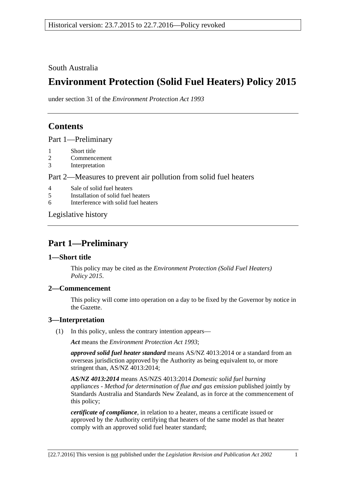South Australia

# **Environment Protection (Solid Fuel Heaters) Policy 2015**

under section 31 of the *Environment Protection Act 1993*

# **Contents**

Part [1—Preliminary](#page-0-0)

- 1 [Short title](#page-0-1)
- 2 [Commencement](#page-0-2)
- 3 [Interpretation](#page-0-3)

## Part 2—Measures to [prevent air pollution from solid fuel heaters](#page-1-0)

- 4 [Sale of solid fuel heaters](#page-1-1)
- 5 [Installation of solid fuel heaters](#page-1-2)
- 6 [Interference with solid fuel heaters](#page-2-0)

[Legislative history](#page-3-0)

# <span id="page-0-0"></span>**Part 1—Preliminary**

## <span id="page-0-1"></span>**1—Short title**

This policy may be cited as the *[Environment Protection \(Solid Fuel Heaters\)](http://www.legislation.sa.gov.au/index.aspx?action=legref&type=subordleg&legtitle=Environment%20Protection%20(Solid%20Fuel%20Heaters)%20Policy%202015)  [Policy](http://www.legislation.sa.gov.au/index.aspx?action=legref&type=subordleg&legtitle=Environment%20Protection%20(Solid%20Fuel%20Heaters)%20Policy%202015) 2015*.

## <span id="page-0-2"></span>**2—Commencement**

This policy will come into operation on a day to be fixed by the Governor by notice in the Gazette.

## <span id="page-0-3"></span>**3—Interpretation**

(1) In this policy, unless the contrary intention appears—

*Act* means the *[Environment Protection Act](http://www.legislation.sa.gov.au/index.aspx?action=legref&type=act&legtitle=Environment%20Protection%20Act%201993) 1993*;

*approved solid fuel heater standard* means AS/NZ 4013:2014 or a standard from an overseas jurisdiction approved by the Authority as being equivalent to, or more stringent than, AS/NZ 4013:2014;

*AS/NZ 4013:2014* means AS/NZS 4013:2014 *Domestic solid fuel burning appliances - Method for determination of flue and gas emission* published jointly by Standards Australia and Standards New Zealand, as in force at the commencement of this policy;

*certificate of compliance*, in relation to a heater, means a certificate issued or approved by the Authority certifying that heaters of the same model as that heater comply with an approved solid fuel heater standard;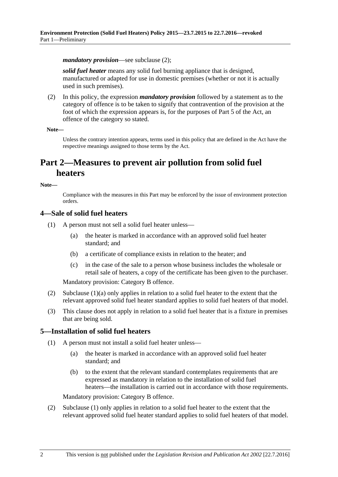*mandatory provision*—see [subclause](#page-1-3) (2);

*solid fuel heater* means any solid fuel burning appliance that is designed, manufactured or adapted for use in domestic premises (whether or not it is actually used in such premises).

<span id="page-1-3"></span>(2) In this policy, the expression *mandatory provision* followed by a statement as to the category of offence is to be taken to signify that contravention of the provision at the foot of which the expression appears is, for the purposes of Part 5 of the Act, an offence of the category so stated.

#### **Note—**

Unless the contrary intention appears, terms used in this policy that are defined in the Act have the respective meanings assigned to those terms by the Act.

## <span id="page-1-0"></span>**Part 2—Measures to prevent air pollution from solid fuel heaters**

#### **Note—**

Compliance with the measures in this Part may be enforced by the issue of environment protection orders.

#### <span id="page-1-5"></span><span id="page-1-1"></span>**4—Sale of solid fuel heaters**

- <span id="page-1-4"></span>(1) A person must not sell a solid fuel heater unless—
	- (a) the heater is marked in accordance with an approved solid fuel heater standard; and
	- (b) a certificate of compliance exists in relation to the heater; and
	- (c) in the case of the sale to a person whose business includes the wholesale or retail sale of heaters, a copy of the certificate has been given to the purchaser.

Mandatory provision: Category B offence.

- (2) [Subclause](#page-1-4) (1)(a) only applies in relation to a solid fuel heater to the extent that the relevant approved solid fuel heater standard applies to solid fuel heaters of that model.
- (3) This clause does not apply in relation to a solid fuel heater that is a fixture in premises that are being sold.

### <span id="page-1-2"></span>**5—Installation of solid fuel heaters**

- (1) A person must not install a solid fuel heater unless—
	- (a) the heater is marked in accordance with an approved solid fuel heater standard; and
	- (b) to the extent that the relevant standard contemplates requirements that are expressed as mandatory in relation to the installation of solid fuel heaters—the installation is carried out in accordance with those requirements.

Mandatory provision: Category B offence.

(2) [Subclause](#page-1-5) (1) only applies in relation to a solid fuel heater to the extent that the relevant approved solid fuel heater standard applies to solid fuel heaters of that model.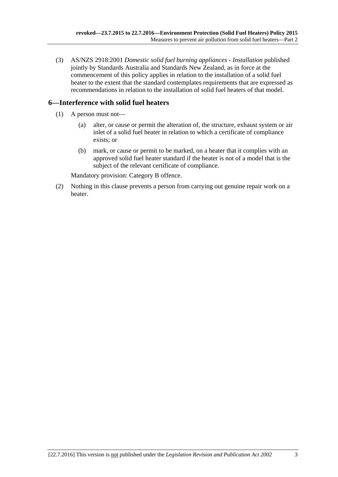(3) AS/NZS 2918:2001 *Domestic solid fuel burning appliances - Installation* published jointly by Standards Australia and Standards New Zealand, as in force at the commencement of this policy applies in relation to the installation of a solid fuel heater to the extent that the standard contemplates requirements that are expressed as recommendations in relation to the installation of solid fuel heaters of that model.

## <span id="page-2-0"></span>**6—Interference with solid fuel heaters**

- (1) A person must not—
	- (a) alter, or cause or permit the alteration of, the structure, exhaust system or air inlet of a solid fuel heater in relation to which a certificate of compliance exists; or
	- (b) mark, or cause or permit to be marked, on a heater that it complies with an approved solid fuel heater standard if the heater is not of a model that is the subject of the relevant certificate of compliance.

Mandatory provision: Category B offence.

(2) Nothing in this clause prevents a person from carrying out genuine repair work on a heater.